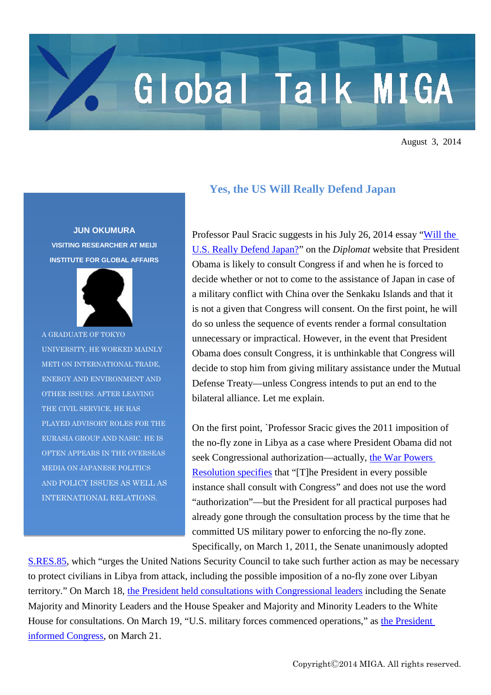## Global Talk MIGA

August 3, 2014

**JUN OKUMURA VISITING RESEARCHER AT MEIJI INSTITUTE FOR GLOBAL AFFAIRS**



A GRADUATE OF TOKYO UNIVERSITY, HE WORKED MAINLY METI ON INTERNATIONAL TRADE, ENERGY AND ENVIRONMENT AND OTHER ISSUES. AFTER LEAVING THE CIVIL SERVICE, HE HAS PLAYED ADVISORY ROLES FOR THE EURASIA GROUP AND NASIC. HE IS OFTEN APPEARS IN THE OVERSEAS MEDIA ON JAPANESE POLITICS AND POLICY ISSUES AS WELL AS INTERNATIONAL RELATIONS.

## **Yes, the US Will Really Defend Japan**

Professor Paul Sracic suggests in his July 26, 2014 essay ["Will the](http://thediplomat.com/2014/07/will-the-u-s-really-defend-japan/)  [U.S. Really Defend Japan?"](http://thediplomat.com/2014/07/will-the-u-s-really-defend-japan/) on the *Diplomat* website that President Obama is likely to consult Congress if and when he is forced to decide whether or not to come to the assistance of Japan in case of a military conflict with China over the Senkaku Islands and that it is not a given that Congress will consent. On the first point, he will do so unless the sequence of events render a formal consultation unnecessary or impractical. However, in the event that President Obama does consult Congress, it is unthinkable that Congress will decide to stop him from giving military assistance under the Mutual Defense Treaty—unless Congress intends to put an end to the bilateral alliance. Let me explain.

On the first point, `Professor Sracic gives the 2011 imposition of the no-fly zone in Libya as a case where President Obama did not seek Congressional authorization—actually, [the War Powers](http://avalon.law.yale.edu/20th_century/warpower.asp)  [Resolution](http://avalon.law.yale.edu/20th_century/warpower.asp) specifies that "[T]he President in every possible instance shall consult with Congress" and does not use the word "authorization"—but the President for all practical purposes had already gone through the consultation process by the time that he committed US military power to enforcing the no-fly zone. Specifically, on March 1, 2011, the Senate unanimously adopted

[S.RES.85,](http://thomas.loc.gov/cgi-bin/query/z?c112:S.RES.85:) which "urges the United Nations Security Council to take such further action as may be necessary to protect civilians in Libya from attack, including the possible imposition of a no-fly zone over Libyan territory." On March 18, [the President held consultations with Congressional leaders](http://thecable.foreignpolicy.com/posts/2011/03/18/inside_the_white_house_congress_meeting_on_libya) including the Senate Majority and Minority Leaders and the House Speaker and Majority and Minority Leaders to the White House for consultations. On March 19, "U.S. military forces commenced operations," as the President [informed Congress,](http://www.whitehouse.gov/the-press-office/2011/03/21/letter-president-regarding-commencement-operations-libya) on March 21.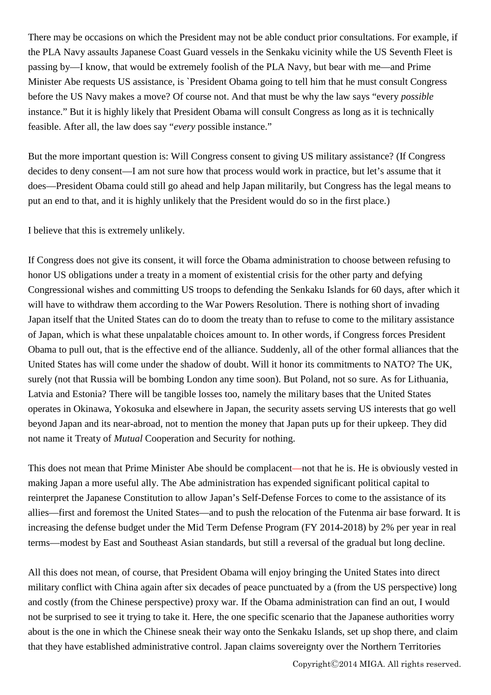There may be occasions on which the President may not be able conduct prior consultations. For example, if the PLA Navy assaults Japanese Coast Guard vessels in the Senkaku vicinity while the US Seventh Fleet is passing by—I know, that would be extremely foolish of the PLA Navy, but bear with me—and Prime Minister Abe requests US assistance, is `President Obama going to tell him that he must consult Congress before the US Navy makes a move? Of course not. And that must be why the law says "every *possible* instance." But it is highly likely that President Obama will consult Congress as long as it is technically feasible. After all, the law does say "*every* possible instance."

But the more important question is: Will Congress consent to giving US military assistance? (If Congress decides to deny consent—I am not sure how that process would work in practice, but let's assume that it does—President Obama could still go ahead and help Japan militarily, but Congress has the legal means to put an end to that, and it is highly unlikely that the President would do so in the first place.)

I believe that this is extremely unlikely.

If Congress does not give its consent, it will force the Obama administration to choose between refusing to honor US obligations under a treaty in a moment of existential crisis for the other party and defying Congressional wishes and committing US troops to defending the Senkaku Islands for 60 days, after which it will have to withdraw them according to the War Powers Resolution. There is nothing short of invading Japan itself that the United States can do to doom the treaty than to refuse to come to the military assistance of Japan, which is what these unpalatable choices amount to. In other words, if Congress forces President Obama to pull out, that is the effective end of the alliance. Suddenly, all of the other formal alliances that the United States has will come under the shadow of doubt. Will it honor its commitments to NATO? The UK, surely (not that Russia will be bombing London any time soon). But Poland, not so sure. As for Lithuania, Latvia and Estonia? There will be tangible losses too, namely the military bases that the United States operates in Okinawa, Yokosuka and elsewhere in Japan, the security assets serving US interests that go well beyond Japan and its near-abroad, not to mention the money that Japan puts up for their upkeep. They did not name it Treaty of *Mutual* Cooperation and Security for nothing.

This does not mean that Prime Minister Abe should be complacent—not that he is. He is obviously vested in making Japan a more useful ally. The Abe administration has expended significant political capital to reinterpret the Japanese Constitution to allow Japan's Self-Defense Forces to come to the assistance of its allies—first and foremost the United States—and to push the relocation of the Futenma air base forward. It is increasing the defense budget under the Mid Term Defense Program (FY 2014-2018) by 2% per year in real terms—modest by East and Southeast Asian standards, but still a reversal of the gradual but long decline.

All this does not mean, of course, that President Obama will enjoy bringing the United States into direct military conflict with China again after six decades of peace punctuated by a (from the US perspective) long and costly (from the Chinese perspective) proxy war. If the Obama administration can find an out, I would not be surprised to see it trying to take it. Here, the one specific scenario that the Japanese authorities worry about is the one in which the Chinese sneak their way onto the Senkaku Islands, set up shop there, and claim that they have established administrative control. Japan claims sovereignty over the Northern Territories